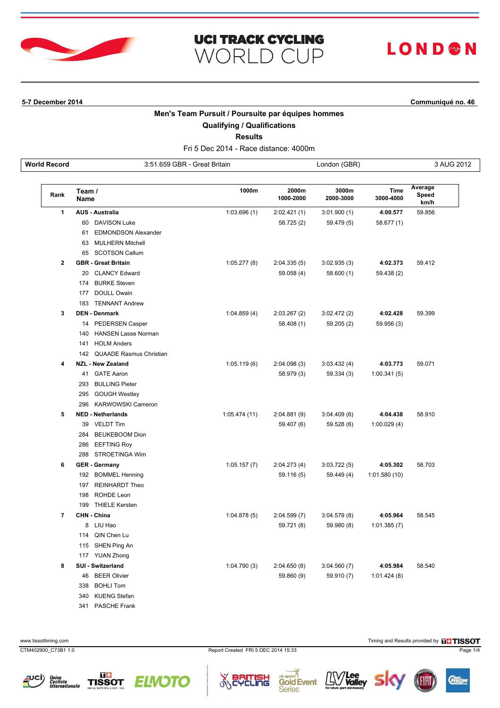

# LOND®N

**5-7 December 2014 Communiqué no. 46**

### **Men's Team Pursuit / Poursuite par équipes hommes**

**UCI TRACK CYCLING** 

**WORLD CUP** 

**Qualifying / Qualifications**

**Results**

Fri 5 Dec 2014 - Race distance: 4000m **World Record** 3:51.659 GBR - Great Britain London (GBR) 3 AUG 2012

| Rank           | Team /<br><b>Name</b>            | 1000m         | 2000m<br>1000-2000 | 3000m<br>2000-3000 | Time<br>3000-4000 | Average<br>Speed<br>km/h |
|----------------|----------------------------------|---------------|--------------------|--------------------|-------------------|--------------------------|
| $\mathbf{1}$   | <b>AUS - Australia</b>           | 1:03.696(1)   | 2:02.421(1)        | 3:01.900(1)        | 4:00.577          | 59.856                   |
|                | <b>DAVISON Luke</b><br>60        |               | 58.725 (2)         | 59.479 (5)         | 58.677 (1)        |                          |
|                | <b>EDMONDSON Alexander</b><br>61 |               |                    |                    |                   |                          |
|                | <b>MULHERN Mitchell</b><br>63    |               |                    |                    |                   |                          |
|                | <b>SCOTSON Callum</b><br>65      |               |                    |                    |                   |                          |
| $\mathbf{2}$   | <b>GBR</b> - Great Britain       | 1:05.277(8)   | 2:04.335(5)        | 3:02.935(3)        | 4:02.373          | 59.412                   |
|                | <b>CLANCY Edward</b><br>20       |               | 59.058 (4)         | 58.600 (1)         | 59.438 (2)        |                          |
|                | <b>BURKE Steven</b><br>174       |               |                    |                    |                   |                          |
|                | DOULL Owain<br>177               |               |                    |                    |                   |                          |
|                | <b>TENNANT Andrew</b><br>183     |               |                    |                    |                   |                          |
| 3              | <b>DEN - Denmark</b>             | 1:04.859(4)   | 2:03.267(2)        | 3:02.472(2)        | 4:02.428          | 59.399                   |
|                | 14 PEDERSEN Casper               |               | 58.408 (1)         | 59.205 (2)         | 59.956 (3)        |                          |
|                | 140 HANSEN Lasse Norman          |               |                    |                    |                   |                          |
|                | <b>HOLM Anders</b><br>141        |               |                    |                    |                   |                          |
|                | 142 QUAADE Rasmus Christian      |               |                    |                    |                   |                          |
| 4              | <b>NZL - New Zealand</b>         | 1:05.119(6)   | 2:04.098(3)        | 3:03.432(4)        | 4:03.773          | 59.071                   |
|                | 41 GATE Aaron                    |               | 58.979 (3)         | 59.334 (3)         | 1:00.341(5)       |                          |
|                | 293<br><b>BULLING Pieter</b>     |               |                    |                    |                   |                          |
|                | <b>GOUGH Westley</b><br>295      |               |                    |                    |                   |                          |
|                | 296<br><b>KARWOWSKI Cameron</b>  |               |                    |                    |                   |                          |
| 5              | <b>NED - Netherlands</b>         | 1:05.474 (11) | 2:04.881(9)        | 3:04.409(6)        | 4:04.438          | 58.910                   |
|                | 39 VELDT Tim                     |               | 59.407 (6)         | 59.528 (6)         | 1:00.029(4)       |                          |
|                | 284<br><b>BEUKEBOOM Dion</b>     |               |                    |                    |                   |                          |
|                | 286<br><b>EEFTING Roy</b>        |               |                    |                    |                   |                          |
|                | STROETINGA Wim<br>288            |               |                    |                    |                   |                          |
| 6              | <b>GER</b> - Germany             | 1:05.157(7)   | 2:04.273(4)        | 3:03.722(5)        | 4:05.302          | 58.703                   |
|                | 192 BOMMEL Henning               |               | 59.116 (5)         | 59.449 (4)         | 1:01.580 (10)     |                          |
|                | 197 REINHARDT Theo               |               |                    |                    |                   |                          |
|                | ROHDE Leon<br>198                |               |                    |                    |                   |                          |
|                | <b>THIELE Kersten</b><br>199     |               |                    |                    |                   |                          |
| $\overline{7}$ | CHN - China                      | 1:04.878(5)   | 2:04.599(7)        | 3:04.579(8)        | 4:05.964          | 58.545                   |
|                | 8 LIU Hao                        |               | 59.721 (8)         | 59.980 (8)         | 1:01.385(7)       |                          |
|                | 114<br>QIN Chen Lu               |               |                    |                    |                   |                          |
|                | SHEN Ping An<br>115              |               |                    |                    |                   |                          |
|                | 117 YUAN Zhong                   |               |                    |                    |                   |                          |
| 8              | SUI - Switzerland                | 1:04.790(3)   | 2:04.650(8)        | 3:04.560(7)        | 4:05.984          | 58.540                   |
|                | 46 BEER Olivier                  |               | 59.860 (9)         | 59.910 (7)         | 1:01.424(8)       |                          |
|                | <b>BOHLI Tom</b><br>338          |               |                    |                    |                   |                          |
|                | 340<br><b>KUENG Stefan</b>       |               |                    |                    |                   |                          |

341 PASCHE Frank

CTM402900\_C73B1 1.0 Report Created FRI 5 DEC 2014 15:33 Page 1/4

 $\delta$ 









www.tissottiming.com **Timing and Results provided by ELTISSOT** 

*/Lee<br>Valley* 

Д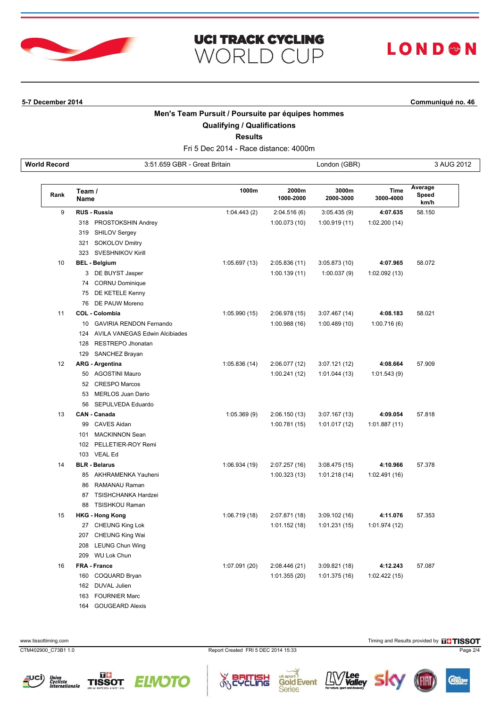

# LOND®N

**5-7 December 2014 Communiqué no. 46**

### **Men's Team Pursuit / Poursuite par équipes hommes**

**UCI TRACK CYCLING** 

**WORLD CUP** 

**Qualifying / Qualifications**

**Results**

Fri 5 Dec 2014 - Race distance: 4000m **World Record** 3:51.659 GBR - Great Britain London (GBR) 3 AUG 2012

| Rank | Team /<br>Name       |                                    | 1000m         | 2000m<br>1000-2000 | 3000m<br>2000-3000 | Time<br>3000-4000 | Average<br>Speed<br>km/h |
|------|----------------------|------------------------------------|---------------|--------------------|--------------------|-------------------|--------------------------|
| 9    |                      | <b>RUS - Russia</b>                | 1:04.443(2)   | 2:04.516(6)        | 3:05.435(9)        | 4:07.635          | 58.150                   |
|      |                      | 318 PROSTOKSHIN Andrey             |               | 1:00.073(10)       | 1:00.919(11)       | 1:02.200(14)      |                          |
|      |                      | 319 SHILOV Sergey                  |               |                    |                    |                   |                          |
|      |                      | 321 SOKOLOV Dmitry                 |               |                    |                    |                   |                          |
|      |                      | 323 SVESHNIKOV Kirill              |               |                    |                    |                   |                          |
| 10   | <b>BEL - Belgium</b> |                                    | 1:05.697(13)  | 2:05.836 (11)      | 3:05.873(10)       | 4:07.965          | 58.072                   |
|      |                      | 3 DE BUYST Jasper                  |               | 1:00.139(11)       | 1:00.037(9)        | 1:02.092(13)      |                          |
|      |                      | 74 CORNU Dominique                 |               |                    |                    |                   |                          |
|      |                      | 75 DE KETELE Kenny                 |               |                    |                    |                   |                          |
|      |                      | 76 DE PAUW Moreno                  |               |                    |                    |                   |                          |
| 11   |                      | <b>COL - Colombia</b>              | 1:05.990(15)  | 2:06.978 (15)      | 3:07.467(14)       | 4:08.183          | 58.021                   |
|      |                      | 10 GAVIRIA RENDON Fernando         |               | 1:00.988(16)       | 1:00.489(10)       | 1:00.716(6)       |                          |
|      |                      | 124 AVILA VANEGAS Edwin Alcibiades |               |                    |                    |                   |                          |
|      |                      | 128 RESTREPO Jhonatan              |               |                    |                    |                   |                          |
|      |                      | 129 SANCHEZ Brayan                 |               |                    |                    |                   |                          |
| 12   |                      | <b>ARG - Argentina</b>             | 1:05.836(14)  | 2:06.077 (12)      | 3:07.121(12)       | 4:08.664          | 57.909                   |
|      |                      | 50 AGOSTINI Mauro                  |               | 1:00.241(12)       | 1:01.044 (13)      | 1:01.543(9)       |                          |
|      |                      | 52 CRESPO Marcos                   |               |                    |                    |                   |                          |
|      |                      | 53 MERLOS Juan Dario               |               |                    |                    |                   |                          |
|      |                      | 56 SEPULVEDA Eduardo               |               |                    |                    |                   |                          |
| 13   |                      | <b>CAN - Canada</b>                | 1:05.369(9)   | 2:06.150(13)       | 3:07.167(13)       | 4:09.054          | 57.818                   |
|      | 99                   | CAVES Aidan                        |               | 1:00.781(15)       | 1:01.017(12)       | 1:01.887(11)      |                          |
|      | 101                  | <b>MACKINNON Sean</b>              |               |                    |                    |                   |                          |
|      |                      | 102 PELLETIER-ROY Remi             |               |                    |                    |                   |                          |
|      |                      | 103 VEAL Ed                        |               |                    |                    |                   |                          |
| 14   |                      | <b>BLR - Belarus</b>               | 1:06.934 (19) | 2:07.257 (16)      | 3:08.475(15)       | 4:10.966          | 57.378                   |
|      |                      | 85 AKHRAMENKA Yauheni              |               | 1:00.323(13)       | 1:01.218(14)       | 1:02.491 (16)     |                          |
|      |                      | 86 RAMANAU Raman                   |               |                    |                    |                   |                          |
|      |                      | 87 TSISHCHANKA Hardzei             |               |                    |                    |                   |                          |
|      | 88                   | <b>TSISHKOU Raman</b>              |               |                    |                    |                   |                          |
| 15   |                      | <b>HKG - Hong Kong</b>             | 1:06.719(18)  | 2:07.871 (18)      | 3:09.102(16)       | 4:11.076          | 57.353                   |
|      |                      | 27 CHEUNG King Lok                 |               | 1:01.152(18)       | 1:01.231(15)       | 1:01.974 (12)     |                          |
|      |                      | 207 CHEUNG King Wai                |               |                    |                    |                   |                          |
|      |                      | 208 LEUNG Chun Wing                |               |                    |                    |                   |                          |
|      |                      | 209 WU Lok Chun                    |               |                    |                    |                   |                          |
| 16   |                      | FRA - France                       | 1:07.091 (20) | 2:08.446 (21)      | 3:09.821(18)       | 4:12.243          | 57.087                   |
|      |                      | 160 COQUARD Bryan                  |               | 1:01.355(20)       | 1:01.375(16)       | 1:02.422(15)      |                          |
|      |                      | 162 DUVAL Julien                   |               |                    |                    |                   |                          |
|      |                      | 163 FOURNIER Marc                  |               |                    |                    |                   |                          |

164 GOUGEARD Alexis

CTM402900\_C73B1 1.0 Report Created FRI 5 DEC 2014 15:33 Page 2/4

 $\delta$ 









www.tissottiming.com **Timing and Results provided by ELTISSOT** 

<sup>7</sup>Lee<br>Valley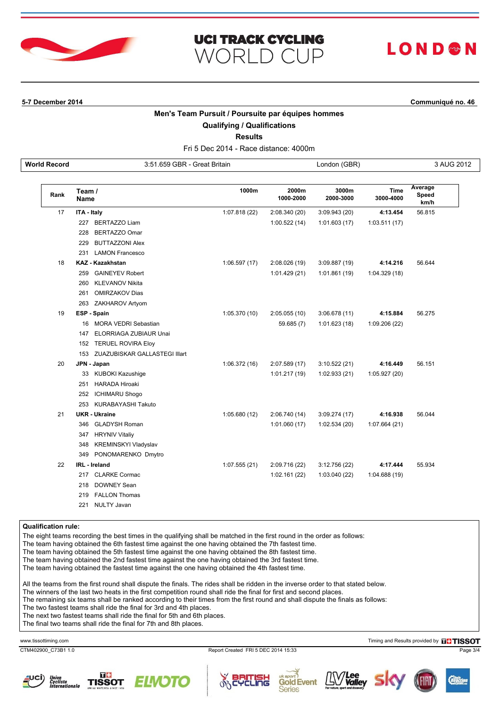

# LOND<sup>&</sup>N

**5-7 December 2014 Communiqué no. 46**

#### **Men's Team Pursuit / Poursuite par équipes hommes**

**UCI TRACK CYCLING** 

**WORLD CUP** 

**Qualifying / Qualifications**

**Results**

Fri 5 Dec 2014 - Race distance: 4000m **World Record** 3:51.659 GBR - Great Britain **3:51.659 CBR** - Great Britain **3 AUG 2012** 

| Rank | Team /<br><b>Name</b>              | 1000m         | 2000m<br>1000-2000 | 3000m<br>2000-3000 | Time<br>3000-4000 | Average<br>Speed<br>km/h |
|------|------------------------------------|---------------|--------------------|--------------------|-------------------|--------------------------|
| 17   | ITA - Italy                        | 1:07.818 (22) | 2:08.340 (20)      | 3:09.943 (20)      | 4:13.454          | 56.815                   |
|      | 227 BERTAZZO Liam                  |               | 1:00.522(14)       | 1:01.603(17)       | 1:03.511(17)      |                          |
|      | BERTAZZO Omar<br>228               |               |                    |                    |                   |                          |
|      | <b>BUTTAZZONI Alex</b><br>229      |               |                    |                    |                   |                          |
|      | <b>LAMON Francesco</b><br>231      |               |                    |                    |                   |                          |
| 18   | <b>KAZ - Kazakhstan</b>            | 1:06.597(17)  | 2:08.026 (19)      | 3:09.887 (19)      | 4:14.216          | 56.644                   |
|      | 259 GAINEYEV Robert                |               | 1:01.429(21)       | 1:01.861 (19)      | 1:04.329 (18)     |                          |
|      | KLEVANOV Nikita<br>260             |               |                    |                    |                   |                          |
|      | <b>OMIRZAKOV Dias</b><br>261       |               |                    |                    |                   |                          |
|      | 263 ZAKHAROV Artyom                |               |                    |                    |                   |                          |
| 19   | ESP - Spain                        | 1:05.370 (10) | 2:05.055(10)       | 3:06.678(11)       | 4:15.884          | 56.275                   |
|      | 16 MORA VEDRI Sebastian            |               | 59.685 (7)         | 1:01.623(18)       | 1:09.206 (22)     |                          |
|      | ELORRIAGA ZUBIAUR Unai<br>147      |               |                    |                    |                   |                          |
|      | 152 TERUEL ROVIRA Eloy             |               |                    |                    |                   |                          |
|      | 153 ZUAZUBISKAR GALLASTEGI Illart  |               |                    |                    |                   |                          |
| 20   | JPN - Japan                        | 1:06.372(16)  | 2:07.589 (17)      | 3:10.522(21)       | 4:16.449          | 56.151                   |
|      | 33 KUBOKI Kazushige                |               | 1:01.217(19)       | 1:02.933 (21)      | 1:05.927 (20)     |                          |
|      | 251 HARADA Hiroaki                 |               |                    |                    |                   |                          |
|      | <b>ICHIMARU Shogo</b><br>252       |               |                    |                    |                   |                          |
|      | 253 KURABAYASHI Takuto             |               |                    |                    |                   |                          |
| 21   | <b>UKR</b> - Ukraine               | 1:05.680(12)  | 2:06.740 (14)      | 3:09.274(17)       | 4:16.938          | 56.044                   |
|      | 346 GLADYSH Roman                  |               | 1:01.060(17)       | 1:02.534 (20)      | 1:07.664 (21)     |                          |
|      | <b>HRYNIV Vitaliy</b><br>347       |               |                    |                    |                   |                          |
|      | <b>KREMINSKYI Vladyslav</b><br>348 |               |                    |                    |                   |                          |
|      | 349 PONOMARENKO Dmytro             |               |                    |                    |                   |                          |
| 22   | <b>IRL</b> - Ireland               | 1:07.555(21)  | 2:09.716 (22)      | 3:12.756 (22)      | 4:17.444          | 55.934                   |
|      | 217 CLARKE Cormac                  |               | 1:02.161(22)       | 1:03.040 (22)      | 1:04.688(19)      |                          |
|      | <b>DOWNEY Sean</b><br>218          |               |                    |                    |                   |                          |
|      | 219 FALLON Thomas                  |               |                    |                    |                   |                          |
|      | <b>NULTY Javan</b><br>221          |               |                    |                    |                   |                          |

**Qualification rule:**

The eight teams recording the best times in the qualifying shall be matched in the first round in the order as follows:

The team having obtained the 6th fastest time against the one having obtained the 7th fastest time.

The team having obtained the 5th fastest time against the one having obtained the 8th fastest time.

The team having obtained the 2nd fastest time against the one having obtained the 3rd fastest time.

The team having obtained the fastest time against the one having obtained the 4th fastest time.

All the teams from the first round shall dispute the finals. The rides shall be ridden in the inverse order to that stated below.

The winners of the last two heats in the first competition round shall ride the final for first and second places.

The remaining six teams shall be ranked according to their times from the first round and shall dispute the finals as follows:

The two fastest teams shall ride the final for 3rd and 4th places.

The next two fastest teams shall ride the final for 5th and 6th places.

The final two teams shall ride the final for 7th and 8th places.

CTM402900\_C73B1 1.0 Report Created FRI 5 DEC 2014 15:33 Page 3/4

www.tissottiming.com **Timing and Results provided by DUTISSOT**